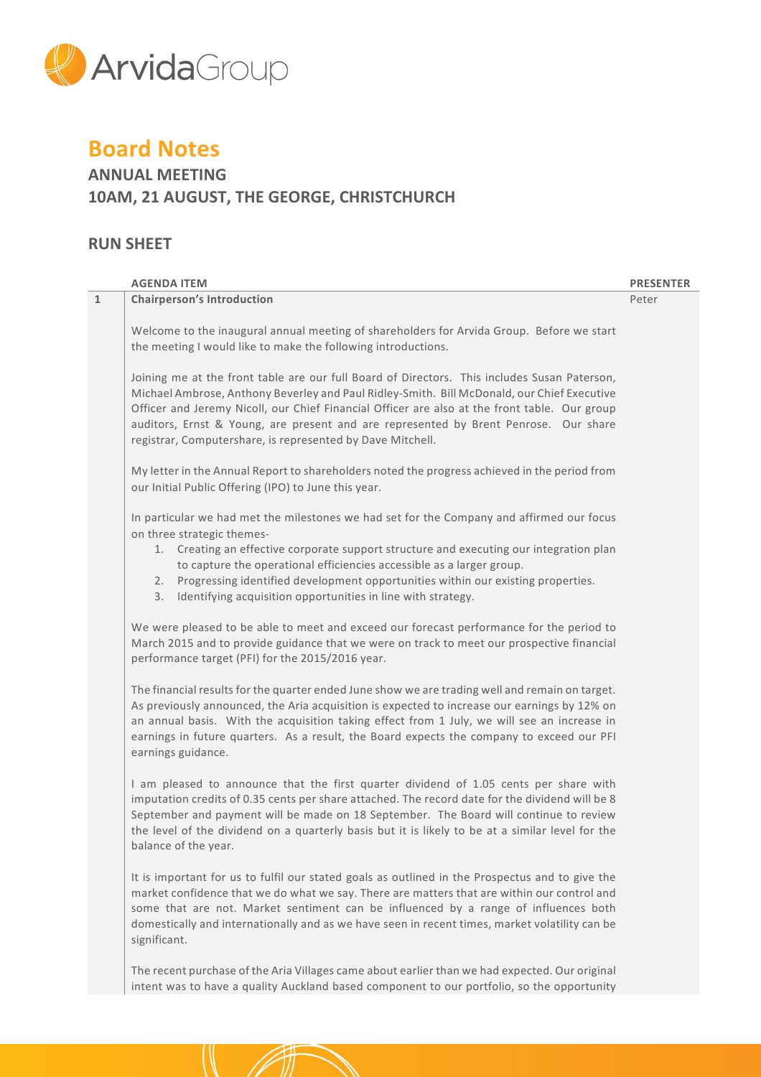

# **Board Notes**

## **ANNUAL MEETING 10AM, 21 AUGUST, THE GEORGE, CHRISTCHURCH**

## **RUN SHEET**

|   | <b>AGENDA ITEM</b>                                                                                                                                                                                                                                                                                                                                                                                                                                          | <b>PRESENTER</b> |
|---|-------------------------------------------------------------------------------------------------------------------------------------------------------------------------------------------------------------------------------------------------------------------------------------------------------------------------------------------------------------------------------------------------------------------------------------------------------------|------------------|
| 1 | <b>Chairperson's Introduction</b>                                                                                                                                                                                                                                                                                                                                                                                                                           | Peter            |
|   | Welcome to the inaugural annual meeting of shareholders for Arvida Group. Before we start<br>the meeting I would like to make the following introductions.                                                                                                                                                                                                                                                                                                  |                  |
|   | Joining me at the front table are our full Board of Directors. This includes Susan Paterson,<br>Michael Ambrose, Anthony Beverley and Paul Ridley-Smith. Bill McDonald, our Chief Executive<br>Officer and Jeremy Nicoll, our Chief Financial Officer are also at the front table. Our group<br>auditors, Ernst & Young, are present and are represented by Brent Penrose. Our share<br>registrar, Computershare, is represented by Dave Mitchell.          |                  |
|   | My letter in the Annual Report to shareholders noted the progress achieved in the period from<br>our Initial Public Offering (IPO) to June this year.                                                                                                                                                                                                                                                                                                       |                  |
|   | In particular we had met the milestones we had set for the Company and affirmed our focus<br>on three strategic themes-<br>1. Creating an effective corporate support structure and executing our integration plan<br>to capture the operational efficiencies accessible as a larger group.<br>Progressing identified development opportunities within our existing properties.<br>2.<br>Identifying acquisition opportunities in line with strategy.<br>3. |                  |
|   | We were pleased to be able to meet and exceed our forecast performance for the period to<br>March 2015 and to provide guidance that we were on track to meet our prospective financial<br>performance target (PFI) for the 2015/2016 year.                                                                                                                                                                                                                  |                  |
|   | The financial results for the quarter ended June show we are trading well and remain on target.<br>As previously announced, the Aria acquisition is expected to increase our earnings by 12% on<br>an annual basis. With the acquisition taking effect from 1 July, we will see an increase in<br>earnings in future quarters. As a result, the Board expects the company to exceed our PFI<br>earnings guidance.                                           |                  |
|   | I am pleased to announce that the first quarter dividend of 1.05 cents per share with<br>imputation credits of 0.35 cents per share attached. The record date for the dividend will be 8<br>September and payment will be made on 18 September. The Board will continue to review<br>the level of the dividend on a quarterly basis but it is likely to be at a similar level for the<br>balance of the year.                                               |                  |
|   | It is important for us to fulfil our stated goals as outlined in the Prospectus and to give the<br>market confidence that we do what we say. There are matters that are within our control and<br>some that are not. Market sentiment can be influenced by a range of influences both<br>domestically and internationally and as we have seen in recent times, market volatility can be<br>significant.                                                     |                  |
|   | The recent purchase of the Aria Villages came about earlier than we had expected. Our original<br>intent was to have a quality Auckland based component to our portfolio, so the opportunity                                                                                                                                                                                                                                                                |                  |
|   |                                                                                                                                                                                                                                                                                                                                                                                                                                                             |                  |

 $\mathcal{N}$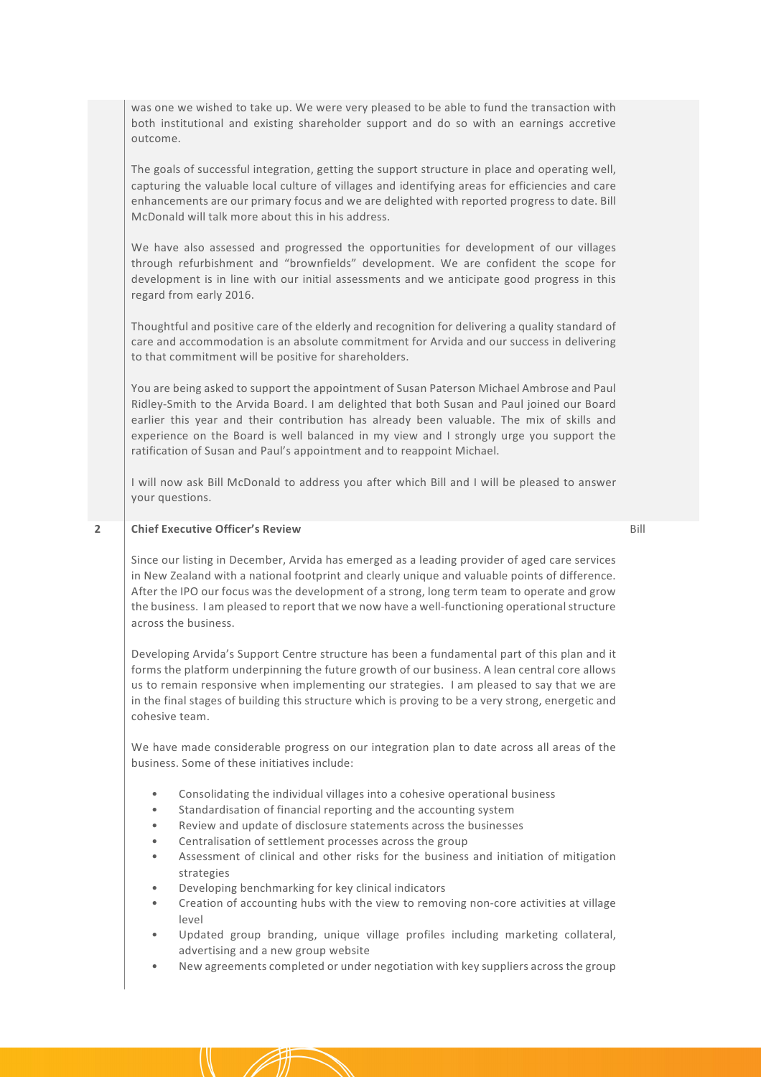was one we wished to take up. We were very pleased to be able to fund the transaction with both institutional and existing shareholder support and do so with an earnings accretive outcome.

The goals of successful integration, getting the support structure in place and operating well, capturing the valuable local culture of villages and identifying areas for efficiencies and care enhancements are our primary focus and we are delighted with reported progress to date. Bill McDonald will talk more about this in his address.

We have also assessed and progressed the opportunities for development of our villages through refurbishment and "brownfields" development. We are confident the scope for development is in line with our initial assessments and we anticipate good progress in this regard from early 2016.

Thoughtful and positive care of the elderly and recognition for delivering a quality standard of care and accommodation is an absolute commitment for Arvida and our success in delivering to that commitment will be positive for shareholders.

You are being asked to support the appointment of Susan Paterson Michael Ambrose and Paul Ridley-Smith to the Arvida Board. I am delighted that both Susan and Paul joined our Board earlier this year and their contribution has already been valuable. The mix of skills and experience on the Board is well balanced in my view and I strongly urge you support the ratification of Susan and Paul's appointment and to reappoint Michael.

I will now ask Bill McDonald to address you after which Bill and I will be pleased to answer your questions.

Bill

## **2 Chief Executive Officer's Review**

Since our listing in December, Arvida has emerged as a leading provider of aged care services in New Zealand with a national footprint and clearly unique and valuable points of difference. After the IPO our focus was the development of a strong, long term team to operate and grow the business. I am pleased to report that we now have a well-functioning operational structure across the business.

Developing Arvida's Support Centre structure has been a fundamental part of this plan and it forms the platform underpinning the future growth of our business. A lean central core allows us to remain responsive when implementing our strategies. I am pleased to say that we are in the final stages of building this structure which is proving to be a very strong, energetic and cohesive team.

We have made considerable progress on our integration plan to date across all areas of the business. Some of these initiatives include:

- Consolidating the individual villages into a cohesive operational business
- Standardisation of financial reporting and the accounting system
- Review and update of disclosure statements across the businesses
- Centralisation of settlement processes across the group
- Assessment of clinical and other risks for the business and initiation of mitigation strategies
- Developing benchmarking for key clinical indicators
- Creation of accounting hubs with the view to removing non-core activities at village level
- Updated group branding, unique village profiles including marketing collateral, advertising and a new group website
- New agreements completed or under negotiation with key suppliers across the group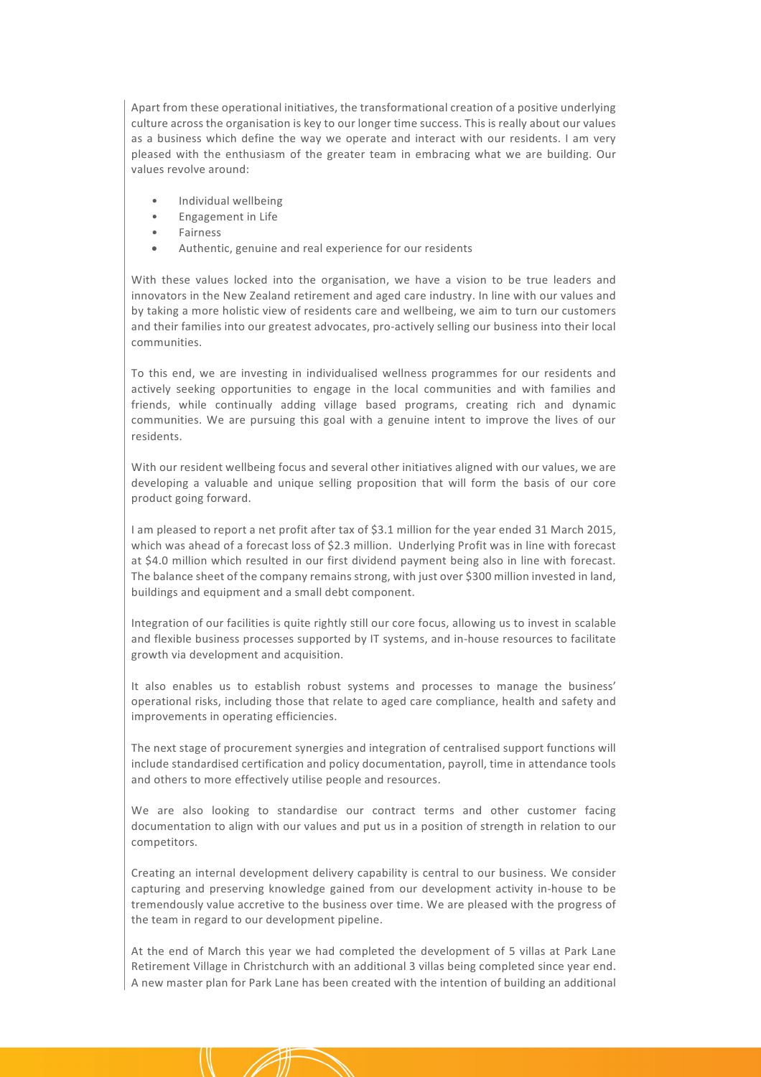Apart from these operational initiatives, the transformational creation of a positive underlying culture across the organisation is key to our longer time success. This is really about our values as a business which define the way we operate and interact with our residents. I am very pleased with the enthusiasm of the greater team in embracing what we are building. Our values revolve around:

- Individual wellbeing
- Engagement in Life
- Fairness
- Authentic, genuine and real experience for our residents

With these values locked into the organisation, we have a vision to be true leaders and innovators in the New Zealand retirement and aged care industry. In line with our values and by taking a more holistic view of residents care and wellbeing, we aim to turn our customers and their families into our greatest advocates, pro-actively selling our business into their local communities.

To this end, we are investing in individualised wellness programmes for our residents and actively seeking opportunities to engage in the local communities and with families and friends, while continually adding village based programs, creating rich and dynamic communities. We are pursuing this goal with a genuine intent to improve the lives of our residents.

With our resident wellbeing focus and several other initiatives aligned with our values, we are developing a valuable and unique selling proposition that will form the basis of our core product going forward.

I am pleased to report a net profit after tax of \$3.1 million for the year ended 31 March 2015, which was ahead of a forecast loss of \$2.3 million. Underlying Profit was in line with forecast at \$4.0 million which resulted in our first dividend payment being also in line with forecast. The balance sheet of the company remains strong, with just over \$300 million invested in land, buildings and equipment and a small debt component.

Integration of our facilities is quite rightly still our core focus, allowing us to invest in scalable and flexible business processes supported by IT systems, and in-house resources to facilitate growth via development and acquisition.

It also enables us to establish robust systems and processes to manage the business' operational risks, including those that relate to aged care compliance, health and safety and improvements in operating efficiencies.

The next stage of procurement synergies and integration of centralised support functions will include standardised certification and policy documentation, payroll, time in attendance tools and others to more effectively utilise people and resources.

We are also looking to standardise our contract terms and other customer facing documentation to align with our values and put us in a position of strength in relation to our competitors.

Creating an internal development delivery capability is central to our business. We consider capturing and preserving knowledge gained from our development activity in-house to be tremendously value accretive to the business over time. We are pleased with the progress of the team in regard to our development pipeline.

At the end of March this year we had completed the development of 5 villas at Park Lane Retirement Village in Christchurch with an additional 3 villas being completed since year end. A new master plan for Park Lane has been created with the intention of building an additional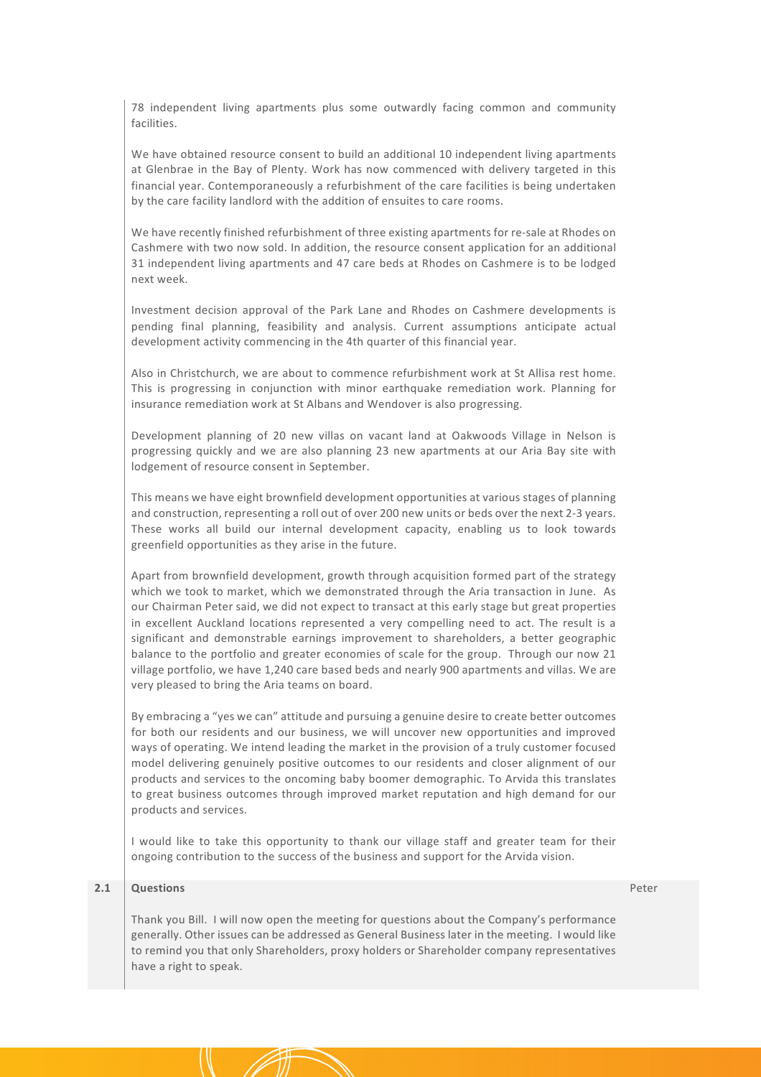78 independent living apartments plus some outwardly facing common and community facilities.

We have obtained resource consent to build an additional 10 independent living apartments at Glenbrae in the Bay of Plenty. Work has now commenced with delivery targeted in this financial year. Contemporaneously a refurbishment of the care facilities is being undertaken by the care facility landlord with the addition of ensuites to care rooms.

We have recently finished refurbishment of three existing apartments for re-sale at Rhodes on Cashmere with two now sold. In addition, the resource consent application for an additional 31 independent living apartments and 47 care beds at Rhodes on Cashmere is to be lodged next week.

Investment decision approval of the Park Lane and Rhodes on Cashmere developments is pending final planning, feasibility and analysis. Current assumptions anticipate actual development activity commencing in the 4th quarter of this financial year.

Also in Christchurch, we are about to commence refurbishment work at St Allisa rest home. This is progressing in conjunction with minor earthquake remediation work. Planning for insurance remediation work at St Albans and Wendover is also progressing.

Development planning of 20 new villas on vacant land at Oakwoods Village in Nelson is progressing quickly and we are also planning 23 new apartments at our Aria Bay site with lodgement of resource consent in September.

This means we have eight brownfield development opportunities at various stages of planning and construction, representing a roll out of over 200 new units or beds over the next 2-3 years. These works all build our internal development capacity, enabling us to look towards greenfield opportunities as they arise in the future.

Apart from brownfield development, growth through acquisition formed part of the strategy which we took to market, which we demonstrated through the Aria transaction in June. As our Chairman Peter said, we did not expect to transact at this early stage but great properties in excellent Auckland locations represented a very compelling need to act. The result is a significant and demonstrable earnings improvement to shareholders, a better geographic balance to the portfolio and greater economies of scale for the group. Through our now 21 village portfolio, we have 1,240 care based beds and nearly 900 apartments and villas. We are very pleased to bring the Aria teams on board.

By embracing a "yes we can" attitude and pursuing a genuine desire to create better outcomes for both our residents and our business, we will uncover new opportunities and improved ways of operating. We intend leading the market in the provision of a truly customer focused model delivering genuinely positive outcomes to our residents and closer alignment of our products and services to the oncoming baby boomer demographic. To Arvida this translates to great business outcomes through improved market reputation and high demand for our products and services.

I would like to take this opportunity to thank our village staff and greater team for their ongoing contribution to the success of the business and support for the Arvida vision.

## **2.1 Questions**

Peter

Thank you Bill. I will now open the meeting for questions about the Company's performance generally. Other issues can be addressed as General Business later in the meeting. I would like to remind you that only Shareholders, proxy holders or Shareholder company representatives have a right to speak.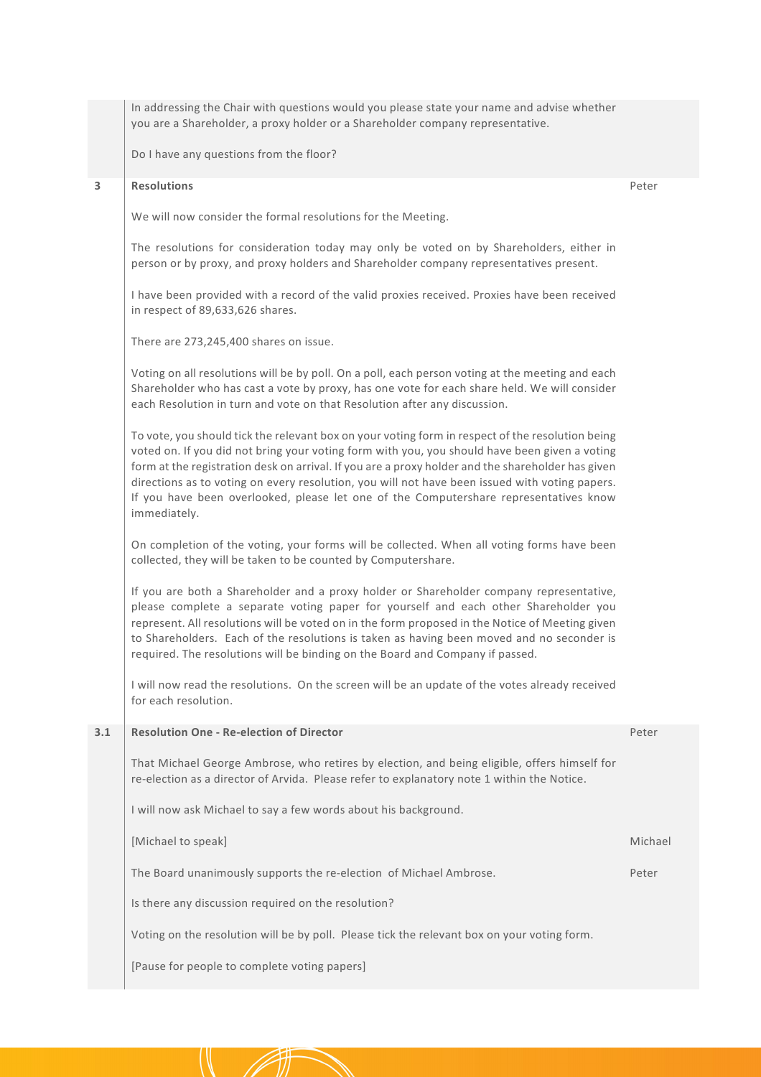In addressing the Chair with questions would you please state your name and advise whether you are a Shareholder, a proxy holder or a Shareholder company representative.

Do I have any questions from the floor?

#### **3 Resolutions**

Peter

We will now consider the formal resolutions for the Meeting.

The resolutions for consideration today may only be voted on by Shareholders, either in person or by proxy, and proxy holders and Shareholder company representatives present.

I have been provided with a record of the valid proxies received. Proxies have been received in respect of 89,633,626 shares.

There are 273,245,400 shares on issue.

Voting on all resolutions will be by poll. On a poll, each person voting at the meeting and each Shareholder who has cast a vote by proxy, has one vote for each share held. We will consider each Resolution in turn and vote on that Resolution after any discussion.

To vote, you should tick the relevant box on your voting form in respect of the resolution being voted on. If you did not bring your voting form with you, you should have been given a voting form at the registration desk on arrival. If you are a proxy holder and the shareholder has given directions as to voting on every resolution, you will not have been issued with voting papers. If you have been overlooked, please let one of the Computershare representatives know immediately.

On completion of the voting, your forms will be collected. When all voting forms have been collected, they will be taken to be counted by Computershare.

If you are both a Shareholder and a proxy holder or Shareholder company representative, please complete a separate voting paper for yourself and each other Shareholder you represent. All resolutions will be voted on in the form proposed in the Notice of Meeting given to Shareholders. Each of the resolutions is taken as having been moved and no seconder is required. The resolutions will be binding on the Board and Company if passed.

I will now read the resolutions. On the screen will be an update of the votes already received for each resolution.

| 3.1 | <b>Resolution One - Re-election of Director</b>                                                                                                                                            | Peter   |
|-----|--------------------------------------------------------------------------------------------------------------------------------------------------------------------------------------------|---------|
|     | That Michael George Ambrose, who retires by election, and being eligible, offers himself for<br>re-election as a director of Arvida. Please refer to explanatory note 1 within the Notice. |         |
|     | I will now ask Michael to say a few words about his background.                                                                                                                            |         |
|     | [Michael to speak]                                                                                                                                                                         | Michael |
|     | The Board unanimously supports the re-election of Michael Ambrose.                                                                                                                         | Peter   |
|     | Is there any discussion required on the resolution?                                                                                                                                        |         |
|     | Voting on the resolution will be by poll. Please tick the relevant box on your voting form.                                                                                                |         |
|     | [Pause for people to complete voting papers]                                                                                                                                               |         |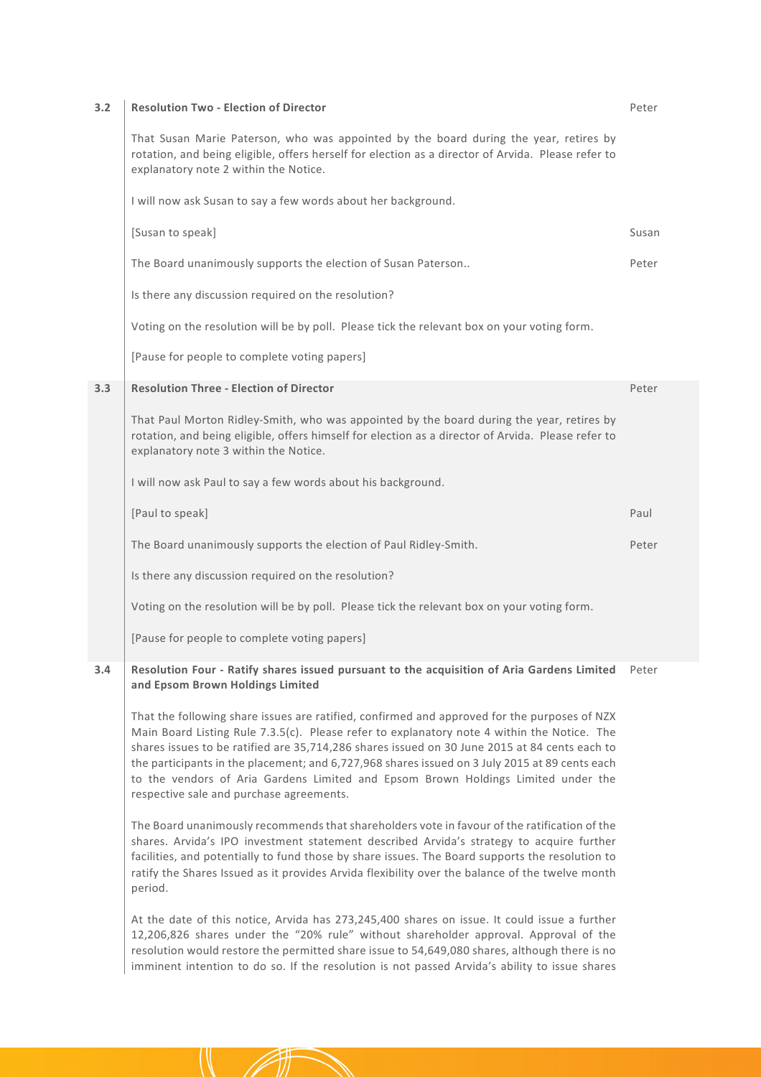| 3.2 | <b>Resolution Two - Election of Director</b>                                                                                                                                                                                             | Peter |
|-----|------------------------------------------------------------------------------------------------------------------------------------------------------------------------------------------------------------------------------------------|-------|
|     | That Susan Marie Paterson, who was appointed by the board during the year, retires by<br>rotation, and being eligible, offers herself for election as a director of Arvida. Please refer to<br>explanatory note 2 within the Notice.     |       |
|     | I will now ask Susan to say a few words about her background.                                                                                                                                                                            |       |
|     | [Susan to speak]                                                                                                                                                                                                                         | Susan |
|     | The Board unanimously supports the election of Susan Paterson                                                                                                                                                                            | Peter |
|     | Is there any discussion required on the resolution?                                                                                                                                                                                      |       |
|     | Voting on the resolution will be by poll. Please tick the relevant box on your voting form.                                                                                                                                              |       |
|     | [Pause for people to complete voting papers]                                                                                                                                                                                             |       |
| 3.3 | <b>Resolution Three - Election of Director</b>                                                                                                                                                                                           | Peter |
|     | That Paul Morton Ridley-Smith, who was appointed by the board during the year, retires by<br>rotation, and being eligible, offers himself for election as a director of Arvida. Please refer to<br>explanatory note 3 within the Notice. |       |
|     | I will now ask Paul to say a few words about his background.                                                                                                                                                                             |       |
|     | [Paul to speak]                                                                                                                                                                                                                          | Paul  |
|     | The Board unanimously supports the election of Paul Ridley-Smith.                                                                                                                                                                        | Peter |
|     | Is there any discussion required on the resolution?                                                                                                                                                                                      |       |
|     | Voting on the resolution will be by poll. Please tick the relevant box on your voting form.                                                                                                                                              |       |
|     | [Pause for people to complete voting papers]                                                                                                                                                                                             |       |
| 3.4 | Resolution Four - Ratify shares issued pursuant to the acquisition of Aria Gardens Limited Peter<br>and Epsom Brown Holdings Limited                                                                                                     |       |

That the following share issues are ratified, confirmed and approved for the purposes of NZX Main Board Listing Rule 7.3.5(c). Please refer to explanatory note 4 within the Notice. The shares issues to be ratified are 35,714,286 shares issued on 30 June 2015 at 84 cents each to the participants in the placement; and 6,727,968 shares issued on 3 July 2015 at 89 cents each to the vendors of Aria Gardens Limited and Epsom Brown Holdings Limited under the respective sale and purchase agreements.

The Board unanimously recommends that shareholders vote in favour of the ratification of the shares. Arvida's IPO investment statement described Arvida's strategy to acquire further facilities, and potentially to fund those by share issues. The Board supports the resolution to ratify the Shares Issued as it provides Arvida flexibility over the balance of the twelve month period.

At the date of this notice, Arvida has 273,245,400 shares on issue. It could issue a further 12,206,826 shares under the "20% rule" without shareholder approval. Approval of the resolution would restore the permitted share issue to 54,649,080 shares, although there is no imminent intention to do so. If the resolution is not passed Arvida's ability to issue shares